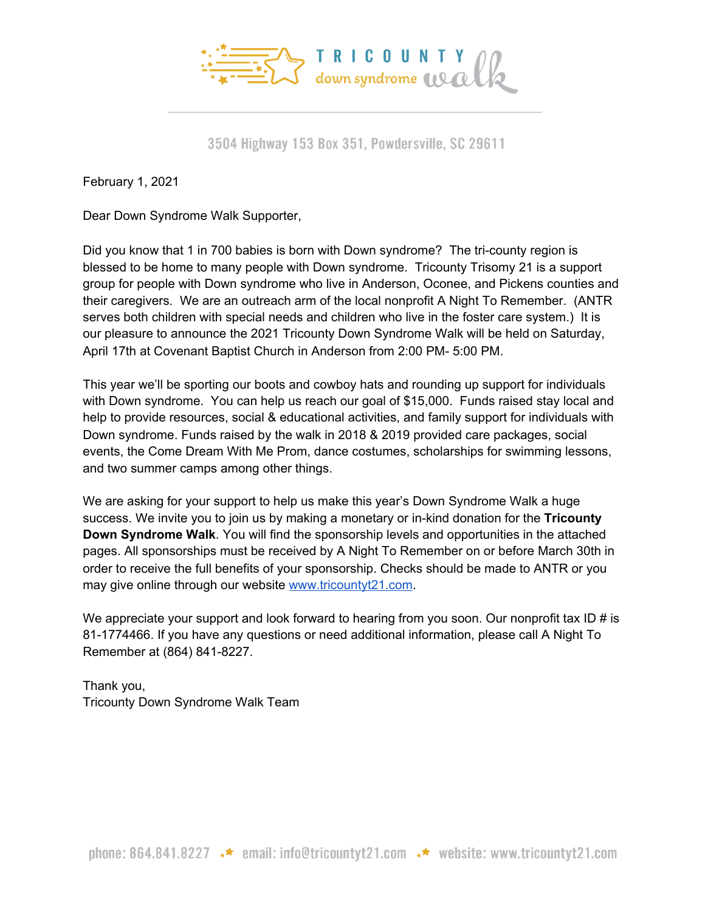

3504 Highway 153 Box 351, Powdersville, SC 29611

February 1, 2021

Dear Down Syndrome Walk Supporter,

Did you know that 1 in 700 babies is born with Down syndrome? The tri-county region is blessed to be home to many people with Down syndrome. Tricounty Trisomy 21 is a support group for people with Down syndrome who live in Anderson, Oconee, and Pickens counties and their caregivers. We are an outreach arm of the local nonprofit A Night To Remember. (ANTR serves both children with special needs and children who live in the foster care system.) It is our pleasure to announce the 2021 Tricounty Down Syndrome Walk will be held on Saturday, April 17th at Covenant Baptist Church in Anderson from 2:00 PM- 5:00 PM.

This year we'll be sporting our boots and cowboy hats and rounding up support for individuals with Down syndrome. You can help us reach our goal of \$15,000. Funds raised stay local and help to provide resources, social & educational activities, and family support for individuals with Down syndrome. Funds raised by the walk in 2018 & 2019 provided care packages, social events, the Come Dream With Me Prom, dance costumes, scholarships for swimming lessons, and two summer camps among other things.

We are asking for your support to help us make this year's Down Syndrome Walk a huge success. We invite you to join us by making a monetary or in-kind donation for the **Tricounty Down Syndrome Walk**. You will find the sponsorship levels and opportunities in the attached pages. All sponsorships must be received by A Night To Remember on or before March 30th in order to receive the full benefits of your sponsorship. Checks should be made to ANTR or you may give online through our website [www.tricountyt21.com](http://www.tricountyt21.com/).

We appreciate your support and look forward to hearing from you soon. Our nonprofit tax ID # is 81-1774466. If you have any questions or need additional information, please call A Night To Remember at (864) 841-8227.

Thank you, Tricounty Down Syndrome Walk Team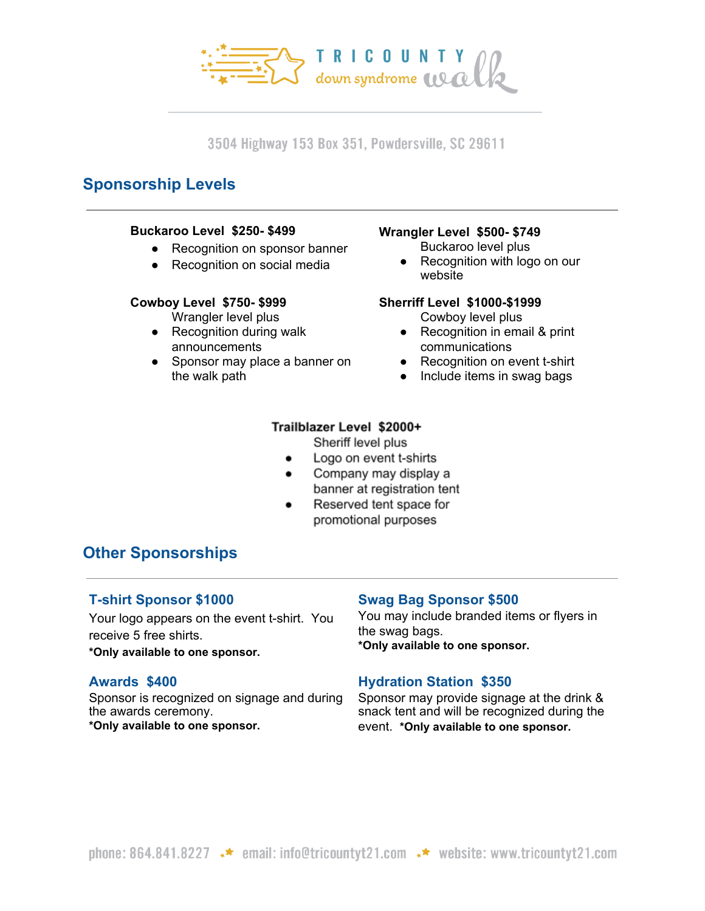

3504 Highway 153 Box 351, Powdersville, SC 29611

# **Sponsorship Levels**

#### **Buckaroo Level \$250- \$499**

- Recognition on sponsor banner
- Recognition on social media

#### **Cowboy Level \$750- \$999**

Wrangler level plus

- Recognition during walk announcements
- Sponsor may place a banner on the walk path

## **Wrangler Level \$500- \$749**

- Buckaroo level plus
- Recognition with logo on our website

#### **Sherriff Level \$1000-\$1999**

Cowboy level plus

- Recognition in email & print communications
- Recognition on event t-shirt
- Include items in swag bags

## Trailblazer Level \$2000+

Sheriff level plus

- Logo on event t-shirts
- Company may display a  $\bullet$ banner at registration tent
- $\bullet$ Reserved tent space for promotional purposes

# **Other Sponsorships**

# **T-shirt Sponsor \$1000**

Your logo appears on the event t-shirt. You receive 5 free shirts.

**\*Only available to one sponsor.**

### **Awards \$400**

Sponsor is recognized on signage and during the awards ceremony. **\*Only available to one sponsor.**

### **Swag Bag Sponsor \$500**

You may include branded items or flyers in the swag bags. **\*Only available to one sponsor.**

# **Hydration Station \$350**

Sponsor may provide signage at the drink & snack tent and will be recognized during the event. **\*Only available to one sponsor.**